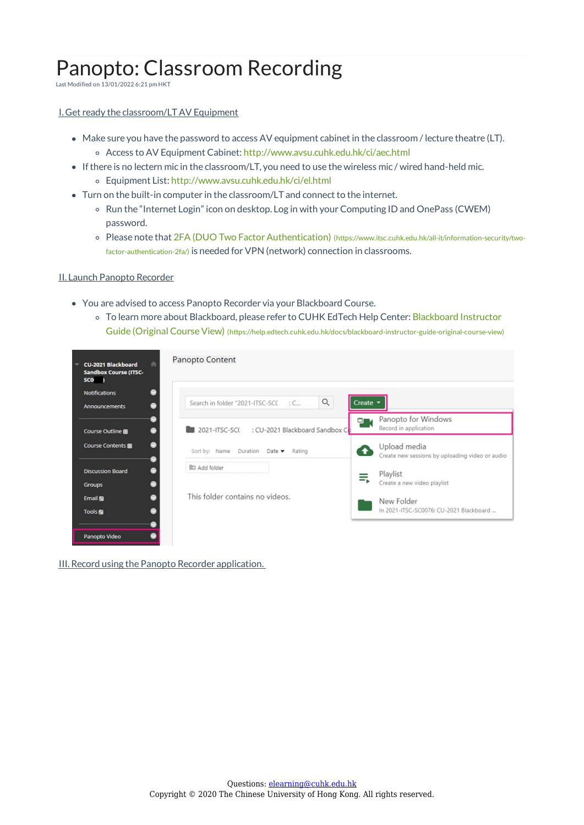# Panopto: Classroom Recording

Last Modified on 13/01/2022 6:21 pm HKT

## I. Get ready the classroom/LTAV Equipment

- Make sure you have the password to access AV equipment cabinet in the classroom / lecture theatre (LT). Access to AV Equipment Cabinet: http://www.avsu.cuhk.edu.hk/ci/aec.html
- Ifthere is no lectern mic in the classroom/LT, you need to use the wireless mic / wired hand-held mic.
	- Equipment List: http://www.avsu.cuhk.edu.hk/ci/el.html
- Turn on the built-in computer in the classroom/LT and connect to the internet.
	- o Run the "Internet Login" icon on desktop. Log in with your Computing ID and OnePass (CWEM) password.
	- o Please note that 2FA (DUO Two Factor Authentication) (https://www.itsc.cuhk.edu.hk/all-it/information-security/twofactor-authentication-2fa/) is needed for VPN (network) connection in classrooms.

#### II. Launch Panopto Recorder

- You are advised to access Panopto Recorder via your Blackboard Course.
	- To learn more about Blackboard, please refer to CUHK EdTech Help Center: Blackboard Instructor Guide (Original Course View) (https://help.edtech.cuhk.edu.hk/docs/blackboard-instructor-guide-original-course-view)

| CU-2021 Blackboard<br><b>Sandbox Course (ITSC-</b><br><b>SCO</b> | Panopto Content                                       |                                                                 |
|------------------------------------------------------------------|-------------------------------------------------------|-----------------------------------------------------------------|
| Notifications<br><b>Announcements</b>                            | Q<br>$:C_{\cdots}$<br>Search in folder "2021-ITSC-SCC | Create $-$                                                      |
| Course Outline                                                   | □<br>2021-ITSC-SC(: : CU-2021 Blackboard Sandbox Cb   | Panopto for Windows<br>Record in application                    |
| Course Contents 圖                                                | Sort by: Name Duration Date v Rating                  | Upload media<br>Create new sessions by uploading video or audio |
| <b>Discussion Board</b><br>Groups                                | <b>D</b> Add folder                                   | Playlist<br>Create a new video playlist                         |
| Email <b>S</b><br>Tools <sub>[6]</sub>                           | This folder contains no videos.                       | New Folder<br>In 2021-ITSC-SC0076: CU-2021 Blackboard           |
| Panopto Video                                                    |                                                       |                                                                 |

III. Record using the Panopto Recorder application.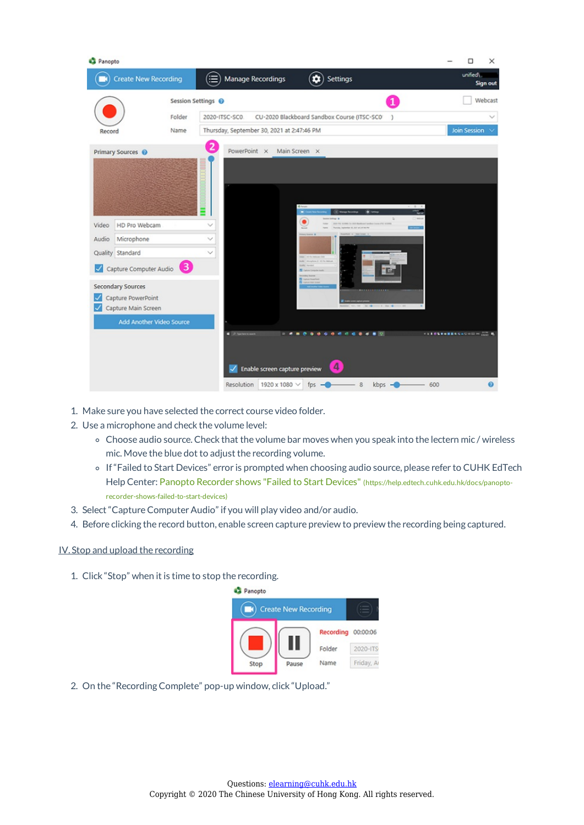| Panopto        |                                                                                                                                  |                                                                                                                                                              | $\times$<br>Ω                                                                |
|----------------|----------------------------------------------------------------------------------------------------------------------------------|--------------------------------------------------------------------------------------------------------------------------------------------------------------|------------------------------------------------------------------------------|
|                | <b>Create New Recording</b>                                                                                                      | (≔)<br>Manage Recordings<br>û<br>Settings                                                                                                                    | unified\1<br>Sign out                                                        |
|                | Folder                                                                                                                           | Session Settings <sup>O</sup><br>2020-ITSC-SC0.<br>CU-2020 Blackboard Sandbox Course (ITSC-SCO)<br>J.                                                        | Webcast                                                                      |
| Record         | Name<br>Primary Sources @                                                                                                        | Thursday, September 30, 2021 at 2:47:46 PM<br>$\bullet$<br>PowerPoint X<br>Main Screen X                                                                     | <b>Join Session</b><br>$\sim$                                                |
| Video<br>Audio | HD Pro Webcam<br>Microphone<br>Quality Standard                                                                                  | O Sma<br><b>CO Manage N</b><br>۰<br>$\checkmark$                                                                                                             |                                                                              |
|                | ❸<br>Capture Computer Audio<br><b>Secondary Sources</b><br>Capture PowerPoint<br>Capture Main Screen<br>Add Another Video Source | 3 No. 14                                                                                                                                                     |                                                                              |
|                |                                                                                                                                  | <b>I</b> Planning<br>0.4.4.6.6.8.0<br>٠<br>٠<br><b>ALC</b><br>4<br>Enable screen capture preview<br>✓<br>Resolution<br>1920 x 1080 V<br>fps<br>8<br>$kbps -$ | <b><i>ALLES BORDERS ADDED HIM ALL BL</i></b><br>$\boldsymbol{\Theta}$<br>600 |

- 1. Make sure you have selected the correct course video folder.
- 2. Use a microphone and check the volume level:
	- Choose audio source.Check that the volume bar moves when you speak into the lectern mic / wireless mic. Move the blue dot to adjust the recording volume.
	- If"Failed to Start Devices" error is prompted when choosing audio source, please refer to CUHK EdTech Help Center: Panopto Recorder shows "Failed to Start Devices" (https://help.edtech.cuhk.edu.hk/docs/panoptorecorder-shows-failed-to-start-devices)
- 3. Select "Capture Computer Audio" if you will play video and/or audio.
- 4. Before clicking the record button, enable screen capture preview to preview the recording being captured.

## IV. Stop and upload the recording

1. Click "Stop" when it is time to stop the recording.



2. On the "Recording Complete" pop-up window, click "Upload."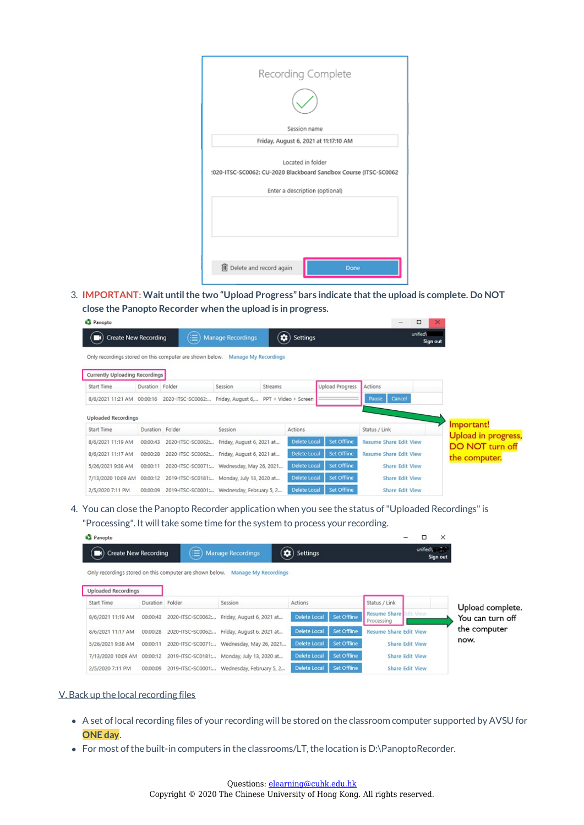| Recording Complete                                                                    |      |  |  |  |  |  |
|---------------------------------------------------------------------------------------|------|--|--|--|--|--|
| Session name                                                                          |      |  |  |  |  |  |
| Friday, August 6, 2021 at 11:17:10 AM                                                 |      |  |  |  |  |  |
| Located in folder<br>:020-ITSC-SC0062: CU-2020 Blackboard Sandbox Course (ITSC-SC0062 |      |  |  |  |  |  |
| Enter a description (optional)                                                        |      |  |  |  |  |  |
|                                                                                       |      |  |  |  |  |  |
| iij Delete and record again                                                           | Done |  |  |  |  |  |

3. **IMPORTANT: Wait untilthe two "Upload Progress" bars indicate thatthe upload is complete. Do NOT close the Panopto Recorder when the upload is in progress.**

| Panopto                                  |                 |                                                                                |                                       |         |                                      |                        |                               | -                      | ×<br>□               |                                  |
|------------------------------------------|-----------------|--------------------------------------------------------------------------------|---------------------------------------|---------|--------------------------------------|------------------------|-------------------------------|------------------------|----------------------|----------------------------------|
| <b>Create New Recording</b>              |                 | ⋐                                                                              | <b>Manage Recordings</b>              |         | $\left( \bullet \right)$<br>Settings |                        |                               |                        | unified\<br>Sign out |                                  |
|                                          |                 | Only recordings stored on this computer are shown below.  Manage My Recordings |                                       |         |                                      |                        |                               |                        |                      |                                  |
| Currently Uploading Recordings           |                 |                                                                                |                                       |         |                                      |                        |                               |                        |                      |                                  |
| Start Time                               | Duration Folder |                                                                                | Session                               | Streams |                                      | <b>Upload Progress</b> | Actions                       |                        |                      |                                  |
| 8/6/2021 11:21 AM 00:00:16               |                 | 2020-ITSC-SC0062 :                                                             | Friday, August 6 PPT + Video + Screen |         |                                      |                        | Pause                         | Cancel                 |                      |                                  |
| <b>Uploaded Recordings</b><br>Start Time | Duration Folder |                                                                                | Session                               |         | Actions                              |                        | Status / Link                 |                        |                      | Important!                       |
| 8/6/2021 11:19 AM                        | 00:00:43        | 2020-ITSC-SC0062:                                                              | Friday, August 6, 2021 at             |         | <b>Delete Local</b>                  | Set Offline            | <b>Resume Share Edit View</b> |                        |                      | <b>Upload in progress,</b>       |
| 8/6/2021 11:17 AM                        | 00:00:28        | 2020-ITSC-SC0062: Friday, August 6, 2021 at                                    |                                       |         | <b>Delete Local</b>                  | Set Offline            | <b>Resume Share Edit View</b> |                        |                      | DO NOT turn off<br>the computer. |
| 5/26/2021 9:38 AM                        | 00:00:11        | 2020-ITSC-SC0071: Wednesday, May 26, 2021                                      |                                       |         | <b>Delete Local</b>                  | Set Offline            |                               | Share Edit View        |                      |                                  |
| 7/13/2020 10:09 AM 00:00:12              |                 | 2019-ITSC-SC0181  Monday, July 13, 2020 at                                     |                                       |         | <b>Delete Local</b>                  | Set Offline            |                               | Share Edit View        |                      |                                  |
| 2/5/2020 7:11 PM                         | 00:00:09        | 2019-ITSC-SC0001: Wednesday, February 5, 2                                     |                                       |         | <b>Delete Local</b>                  | Set Offline            |                               | <b>Share Edit View</b> |                      |                                  |

4. You can close the Panopto Recorder application when you see the status of"Uploaded Recordings"is "Processing". It will take some time for the system to process your recording.

| Panopto                        |                   |                                                                                |                                      |             |                                             |                        | ×        |                  |
|--------------------------------|-------------------|--------------------------------------------------------------------------------|--------------------------------------|-------------|---------------------------------------------|------------------------|----------|------------------|
| <b>Create New Recording</b>    | ≣                 | <b>Manage Recordings</b>                                                       | $\left( \bullet \right)$<br>Settings |             |                                             |                        | Sign out |                  |
|                                |                   | Only recordings stored on this computer are shown below.  Manage My Recordings |                                      |             |                                             |                        |          |                  |
| <b>Uploaded Recordings</b>     |                   |                                                                                |                                      |             |                                             |                        |          |                  |
| Start Time                     | Duration Folder   | Session                                                                        | Actions                              |             | Status / Link                               |                        |          | Upload complete. |
| 8/6/2021 11:19 AM<br>00:00:43  | 2020-ITSC-SC0062: | Friday, August 6, 2021 at                                                      | Delete Local                         | Set Offline | <b>Resume Share</b> Edit View<br>Processing |                        |          | You can turn off |
| 8/6/2021 11:17 AM<br>00:00:28  | 2020-ITSC-SC0062: | Friday, August 6, 2021 at                                                      | Delete Local                         | Set Offline | <b>Resume Share Edit View</b>               |                        |          | the computer     |
| 5/26/2021 9:38 AM<br>00:00:11  | 2020-ITSC-SC0071: | Wednesday, May 26, 2021                                                        | Delete Local                         | Set Offline |                                             | <b>Share Edit View</b> |          | now.             |
| 7/13/2020 10:09 AM<br>00:00:12 | 2019-ITSC-SC0181  | Monday, July 13, 2020 at                                                       | Delete Local                         | Set Offline |                                             | <b>Share Edit View</b> |          |                  |
| 2/5/2020 7:11 PM<br>00:00:09   | 2019-ITSC-SC0001: | Wednesday, February 5, 2                                                       | Delete Local                         | Set Offline |                                             | <b>Share Edit View</b> |          |                  |

# V. Back up the local recording files

- A set oflocal recording files of your recording will be stored on the classroom computer supported by AVSU for **ONE day**.
- For most of the built-in computers in the classrooms/LT, the location is D:\PanoptoRecorder.